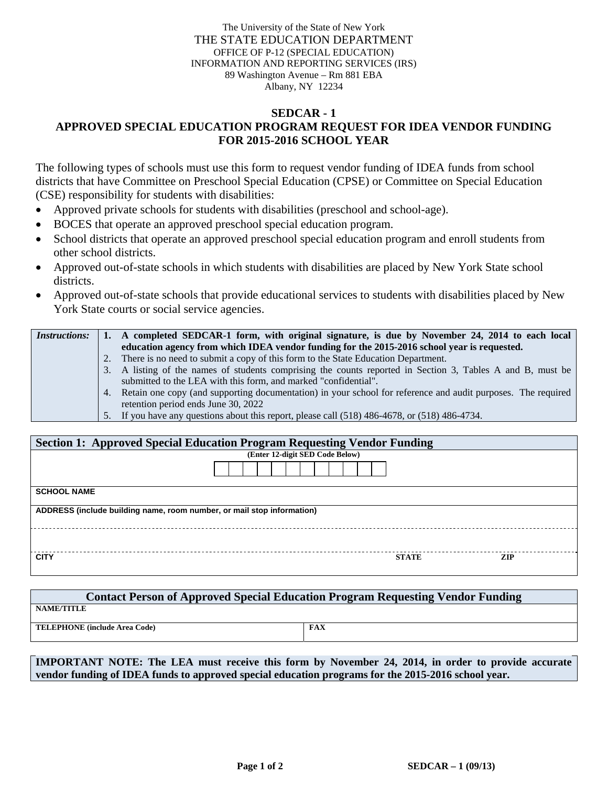The University of the State of New York THE STATE EDUCATION DEPARTMENT OFFICE OF P-12 (SPECIAL EDUCATION) INFORMATION AND REPORTING SERVICES (IRS) 89 Washington Avenue – Rm 881 EBA Albany, NY 12234

## **SEDCAR - 1 APPROVED SPECIAL EDUCATION PROGRAM REQUEST FOR IDEA VENDOR FUNDING FOR 2015-2016 SCHOOL YEAR**

The following types of schools must use this form to request vendor funding of IDEA funds from school districts that have Committee on Preschool Special Education (CPSE) or Committee on Special Education (CSE) responsibility for students with disabilities:

- Approved private schools for students with disabilities (preschool and school-age).
- BOCES that operate an approved preschool special education program.
- School districts that operate an approved preschool special education program and enroll students from other school districts.
- Approved out-of-state schools in which students with disabilities are placed by New York State school districts.
- Approved out-of-state schools that provide educational services to students with disabilities placed by New York State courts or social service agencies.

| <i>Instructions:</i> | 1. A completed SEDCAR-1 form, with original signature, is due by November 24, 2014 to each local                |  |  |  |
|----------------------|-----------------------------------------------------------------------------------------------------------------|--|--|--|
|                      | education agency from which IDEA vendor funding for the 2015-2016 school year is requested.                     |  |  |  |
|                      | 2. There is no need to submit a copy of this form to the State Education Department.                            |  |  |  |
|                      | 3. A listing of the names of students comprising the counts reported in Section 3, Tables A and B, must be      |  |  |  |
|                      | submitted to the LEA with this form, and marked "confidential".                                                 |  |  |  |
|                      | 4. Retain one copy (and supporting documentation) in your school for reference and audit purposes. The required |  |  |  |
|                      | retention period ends June 30, 2022                                                                             |  |  |  |
|                      | 5. If you have any questions about this report, please call (518) 486-4678, or (518) 486-4734.                  |  |  |  |

| <b>Section 1: Approved Special Education Program Requesting Vendor Funding</b> |  |              |            |  |  |  |  |  |
|--------------------------------------------------------------------------------|--|--------------|------------|--|--|--|--|--|
| (Enter 12-digit SED Code Below)                                                |  |              |            |  |  |  |  |  |
|                                                                                |  |              |            |  |  |  |  |  |
| <b>SCHOOL NAME</b>                                                             |  |              |            |  |  |  |  |  |
| ADDRESS (include building name, room number, or mail stop information)         |  |              |            |  |  |  |  |  |
|                                                                                |  |              |            |  |  |  |  |  |
| <b>CITY</b>                                                                    |  | <b>STATE</b> | <b>ZIP</b> |  |  |  |  |  |

| <b>Contact Person of Approved Special Education Program Requesting Vendor Funding</b> |            |  |  |  |  |  |  |
|---------------------------------------------------------------------------------------|------------|--|--|--|--|--|--|
| <b>NAME/TITLE</b>                                                                     |            |  |  |  |  |  |  |
| TELEPHONE (include Area Code)                                                         | <b>FAX</b> |  |  |  |  |  |  |

**IMPORTANT NOTE: The LEA must receive this form by November 24, 2014, in order to provide accurate vendor funding of IDEA funds to approved special education programs for the 2015-2016 school year.**